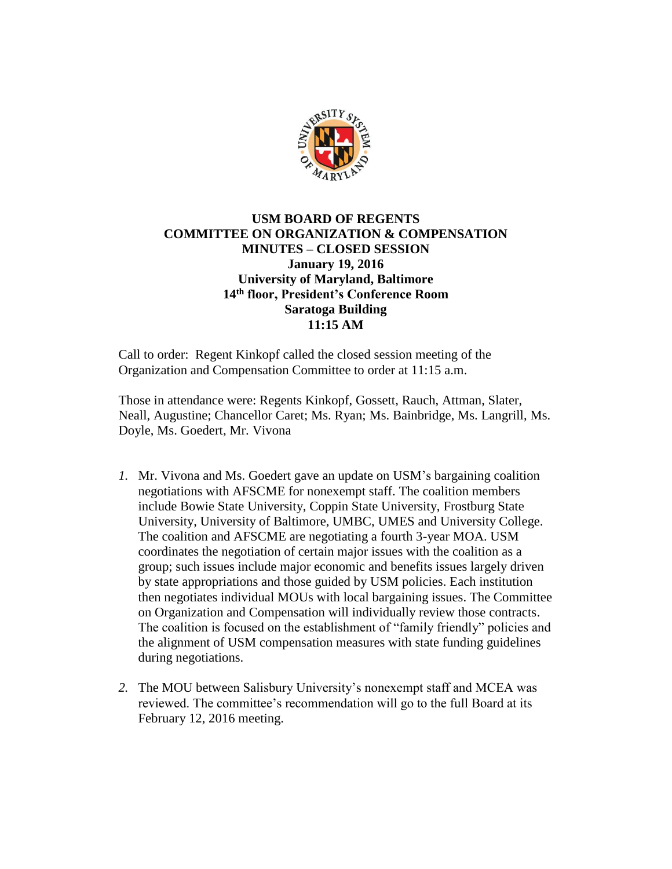

## **USM BOARD OF REGENTS COMMITTEE ON ORGANIZATION & COMPENSATION MINUTES – CLOSED SESSION January 19, 2016 University of Maryland, Baltimore 14th floor, President's Conference Room Saratoga Building 11:15 AM**

Call to order: Regent Kinkopf called the closed session meeting of the Organization and Compensation Committee to order at 11:15 a.m.

Those in attendance were: Regents Kinkopf, Gossett, Rauch, Attman, Slater, Neall, Augustine; Chancellor Caret; Ms. Ryan; Ms. Bainbridge, Ms. Langrill, Ms. Doyle, Ms. Goedert, Mr. Vivona

- *1.* Mr. Vivona and Ms. Goedert gave an update on USM's bargaining coalition negotiations with AFSCME for nonexempt staff. The coalition members include Bowie State University, Coppin State University, Frostburg State University, University of Baltimore, UMBC, UMES and University College. The coalition and AFSCME are negotiating a fourth 3-year MOA. USM coordinates the negotiation of certain major issues with the coalition as a group; such issues include major economic and benefits issues largely driven by state appropriations and those guided by USM policies. Each institution then negotiates individual MOUs with local bargaining issues. The Committee on Organization and Compensation will individually review those contracts. The coalition is focused on the establishment of "family friendly" policies and the alignment of USM compensation measures with state funding guidelines during negotiations.
- *2.* The MOU between Salisbury University's nonexempt staff and MCEA was reviewed. The committee's recommendation will go to the full Board at its February 12, 2016 meeting.